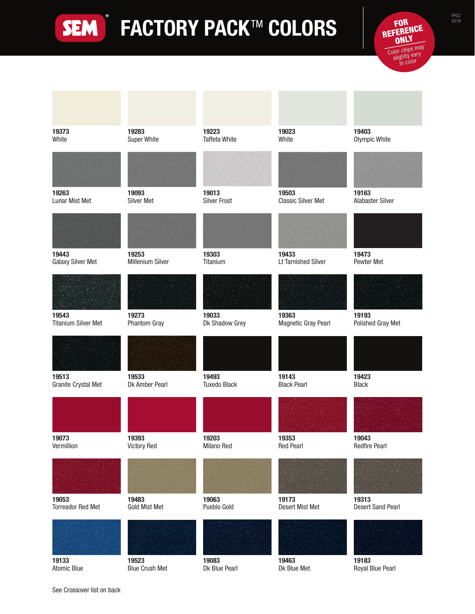

## SEM FACTORY PACK<sup>TM</sup> COLORS REFERENCE



| 19373                      | 19283                   | 19223                | 19023                      | 19403                    |
|----------------------------|-------------------------|----------------------|----------------------------|--------------------------|
| White                      | <b>Super White</b>      | <b>Taffeta White</b> | White                      | Olympic White            |
|                            |                         |                      |                            |                          |
| 19263                      | 19093                   | 19013                | 19503                      | 19163                    |
| <b>Lunar Mist Met</b>      | <b>Silver Met</b>       | <b>Silver Frost</b>  | <b>Classic Silver Met</b>  | Alabaster Silver         |
|                            |                         |                      |                            |                          |
| 19443                      | 19253                   | 19303                | 19433                      | 19473                    |
| <b>Galaxy Silver Met</b>   | <b>Millenium Silver</b> | Titanium             | <b>Lt Tarnished Silver</b> | Pewter Met               |
|                            |                         |                      |                            |                          |
| 19543                      | 19273                   | 19033                | 19363                      | 19193                    |
| <b>Titanium Silver Met</b> | Phantom Gray            | Dk Shadow Grey       | Magnetic Gray Pearl        | Polished Gray Met        |
|                            |                         |                      |                            |                          |
| 19513                      | 19533                   | 19493                | 19143                      | 19423                    |
| Granite Crystal Met        | Dk Amber Pearl          | <b>Tuxedo Black</b>  | <b>Black Pearl</b>         | <b>Black</b>             |
|                            |                         |                      |                            |                          |
| 19073                      | 19393                   | 19203                | 19353                      | 19043                    |
| Vermillion                 | <b>Victory Red</b>      | <b>Milano Red</b>    | <b>Red Pearl</b>           | <b>Redfire Pearl</b>     |
|                            |                         |                      |                            |                          |
| 19053                      | 19483                   | 19063                | 19173                      | 19313                    |
| <b>Torreador Red Met</b>   | <b>Gold Mist Met</b>    | Pueblo Gold          | <b>Desert Mist Met</b>     | <b>Desert Sand Pearl</b> |
|                            |                         |                      |                            |                          |
| 19133                      | 19523                   | 19083                | 19463                      | 19183                    |
| <b>Atomic Blue</b>         | <b>Blue Crush Met</b>   | Dk Blue Pearl        | Dk Blue Met                | Royal Blue Pearl         |

See Crossover list on back